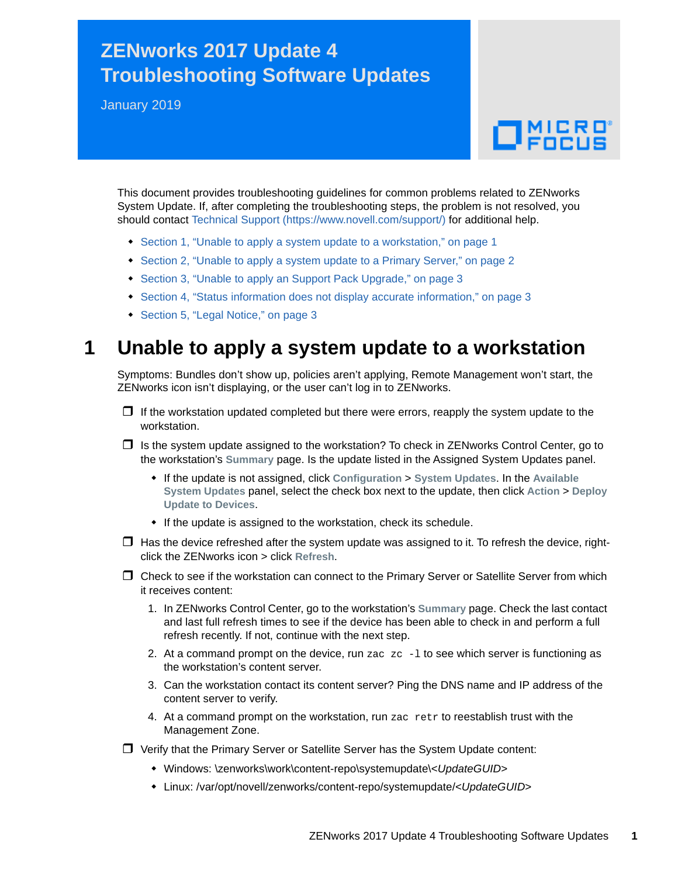# **ZENworks 2017 Update 4 Troubleshooting Software Updates**

January 2019

# $\Box$ MICRO

This document provides troubleshooting guidelines for common problems related to ZENworks System Update. If, after completing the troubleshooting steps, the problem is not resolved, you should contact [Technical Support](https://www.novell.com/support/) (https://www.novell.com/support/) for additional help.

- [Section 1, "Unable to apply a system update to a workstation," on page 1](#page-0-0)
- [Section 2, "Unable to apply a system update to a Primary Server," on page 2](#page-1-0)
- [Section 3, "Unable to apply an Support Pack Upgrade," on page 3](#page-2-0)
- [Section 4, "Status information does not display accurate information," on page 3](#page-2-1)
- [Section 5, "Legal Notice," on page 3](#page-2-2)

## <span id="page-0-0"></span>**1 Unable to apply a system update to a workstation**

Symptoms: Bundles don't show up, policies aren't applying, Remote Management won't start, the ZENworks icon isn't displaying, or the user can't log in to ZENworks.

- $\Box$  If the workstation updated completed but there were errors, reapply the system update to the workstation.
- $\Box$  Is the system update assigned to the workstation? To check in ZENworks Control Center, go to the workstation's **Summary** page. Is the update listed in the Assigned System Updates panel.
	- If the update is not assigned, click **Configuration** > **System Updates**. In the **Available System Updates** panel, select the check box next to the update, then click **Action** > **Deploy Update to Devices**.
	- If the update is assigned to the workstation, check its schedule.
- $\Box$  Has the device refreshed after the system update was assigned to it. To refresh the device, rightclick the ZENworks icon > click **Refresh**.
- Check to see if the workstation can connect to the Primary Server or Satellite Server from which it receives content:
	- 1. In ZENworks Control Center, go to the workstation's **Summary** page. Check the last contact and last full refresh times to see if the device has been able to check in and perform a full refresh recently. If not, continue with the next step.
	- 2. At a command prompt on the device, run zac  $z_{\text{c}}$  -1 to see which server is functioning as the workstation's content server.
	- 3. Can the workstation contact its content server? Ping the DNS name and IP address of the content server to verify.
	- 4. At a command prompt on the workstation, run zac retr to reestablish trust with the Management Zone.
- Verify that the Primary Server or Satellite Server has the System Update content:
	- Windows: \zenworks\work\content-repo\systemupdate\<*UpdateGUID*>
	- Linux: /var/opt/novell/zenworks/content-repo/systemupdate/<*UpdateGUID*>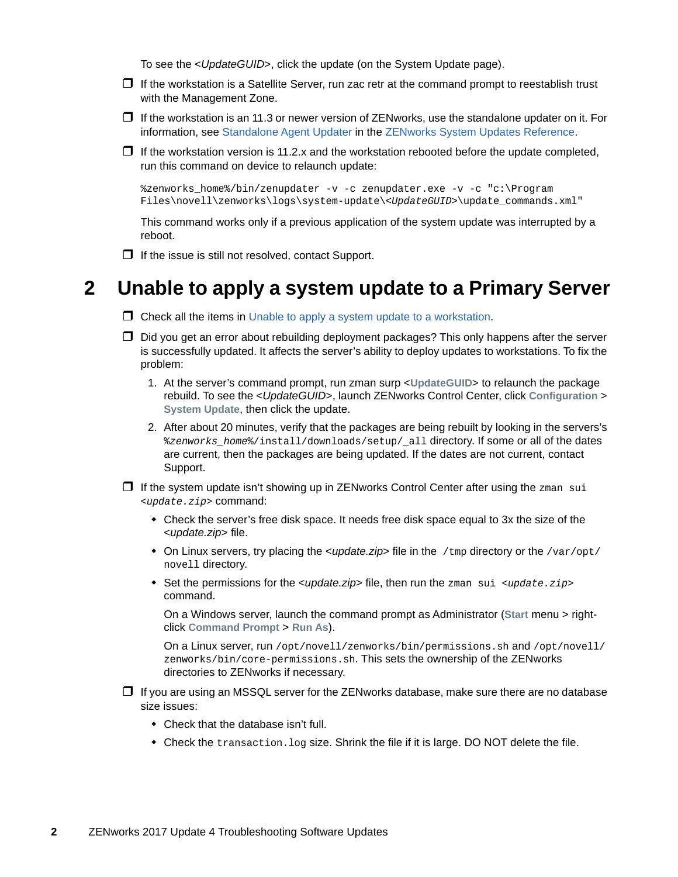To see the <*UpdateGUID*>, click the update (on the System Update page).

- $\Box$  If the workstation is a Satellite Server, run zac retr at the command prompt to reestablish trust with the Management Zone.
- $\Box$  If the workstation is an 11.3 or newer version of ZENworks, use the standalone updater on it. For information, see [Standalone Agent Updater](https://www.novell.com/documentation/zenworks-2017-update-4/pdfdoc/zen_sys_updates/zen_sys_updates.pdf#b18h06hw) in the [ZENworks System Updates Reference](https://www.novell.com/documentation/zenworks-2017-update-4/pdfdoc/zen_sys_updates/zen_sys_updates.pdf#bookinfo).
- $\Box$  If the workstation version is 11.2.x and the workstation rebooted before the update completed, run this command on device to relaunch update:

%zenworks\_home%/bin/zenupdater -v -c zenupdater.exe -v -c "c:\Program Files\novell\zenworks\logs\system-update\<*UpdateGUID*>\update\_commands.xml"

This command works only if a previous application of the system update was interrupted by a reboot.

 $\Box$  If the issue is still not resolved, contact Support.

#### <span id="page-1-0"></span>**2 Unable to apply a system update to a Primary Server**

- $\Box$  Check all the items in [Unable to apply a system update to a workstation](#page-0-0).
- $\Box$  Did you get an error about rebuilding deployment packages? This only happens after the server is successfully updated. It affects the server's ability to deploy updates to workstations. To fix the problem:
	- 1. At the server's command prompt, run zman surp <**UpdateGUID**> to relaunch the package rebuild. To see the <*UpdateGUID*>, launch ZENworks Control Center, click **Configuration** > **System Update**, then click the update.
	- 2. After about 20 minutes, verify that the packages are being rebuilt by looking in the servers's %*zenworks\_home*%/install/downloads/setup/\_all directory. If some or all of the dates are current, then the packages are being updated. If the dates are not current, contact Support.
- $\Box$  If the system update isn't showing up in ZENworks Control Center after using the zman sui <*update.zip*> command:
	- Check the server's free disk space. It needs free disk space equal to 3x the size of the <*update.zip*> file.
	- On Linux servers, try placing the *<update.zip*> file in the /tmp directory or the /var/opt/ novell directory.
	- Set the permissions for the <*update.zip*> file, then run the zman sui <*update.zip*> command.

On a Windows server, launch the command prompt as Administrator (**Start** menu > rightclick **Command Prompt** > **Run As**).

On a Linux server, run /opt/novell/zenworks/bin/permissions.sh and /opt/novell/ zenworks/bin/core-permissions.sh. This sets the ownership of the ZENworks directories to ZENworks if necessary.

- $\Box$  If you are using an MSSQL server for the ZENworks database, make sure there are no database size issues:
	- Check that the database isn't full.
	- Check the transaction. log size. Shrink the file if it is large. DO NOT delete the file.